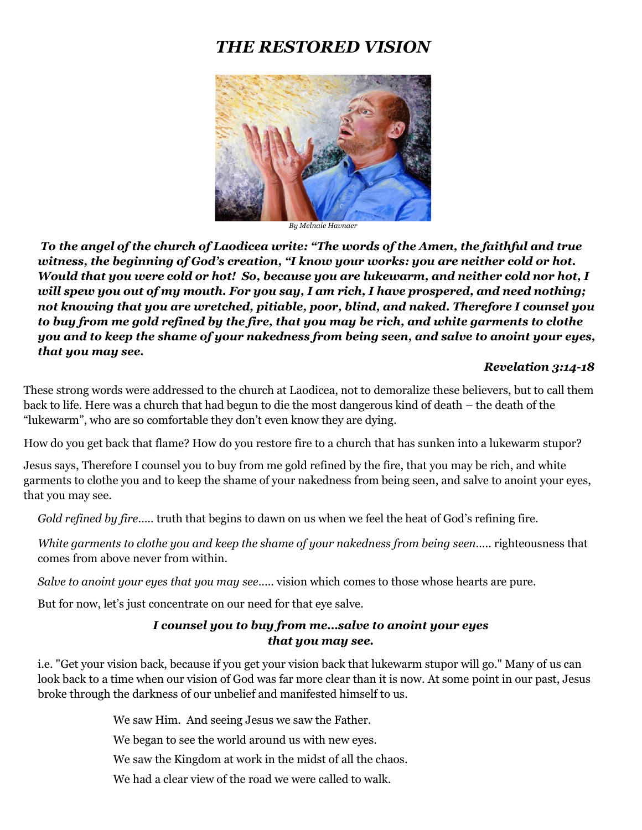# *THE RESTORED VISION*



*By Melnaie Havnaer*

*To the angel of the church of Laodicea write: "The words of the Amen, the faithful and true witness, the beginning of God's creation, "I know your works: you are neither cold or hot. Would that you were cold or hot! So, because you are lukewarm, and neither cold nor hot, I will spew you out of my mouth. For you say, I am rich, I have prospered, and need nothing; not knowing that you are wretched, pitiable, poor, blind, and naked. Therefore I counsel you to buy from me gold refined by the fire, that you may be rich, and white garments to clothe you and to keep the shame of your nakedness from being seen, and salve to anoint your eyes, that you may see.*

#### *Revelation 3:14-18*

These strong words were addressed to the church at Laodicea, not to demoralize these believers, but to call them back to life. Here was a church that had begun to die the most dangerous kind of death – the death of the "lukewarm", who are so comfortable they don't even know they are dying.

How do you get back that flame? How do you restore fire to a church that has sunken into a lukewarm stupor?

Jesus says, Therefore I counsel you to buy from me gold refined by the fire, that you may be rich, and white garments to clothe you and to keep the shame of your nakedness from being seen, and salve to anoint your eyes, that you may see.

*Gold refined by fire*….. truth that begins to dawn on us when we feel the heat of God's refining fire.

*White garments to clothe you and keep the shame of your nakedness from being seen*….. righteousness that comes from above never from within.

*Salve to anoint your eyes that you may see*….. vision which comes to those whose hearts are pure.

But for now, let's just concentrate on our need for that eye salve.

#### *I counsel you to buy from me…salve to anoint your eyes that you may see.*

i.e. "Get your vision back, because if you get your vision back that lukewarm stupor will go." Many of us can look back to a time when our vision of God was far more clear than it is now. At some point in our past, Jesus broke through the darkness of our unbelief and manifested himself to us.

We saw Him. And seeing Jesus we saw the Father.

We began to see the world around us with new eyes.

We saw the Kingdom at work in the midst of all the chaos.

We had a clear view of the road we were called to walk.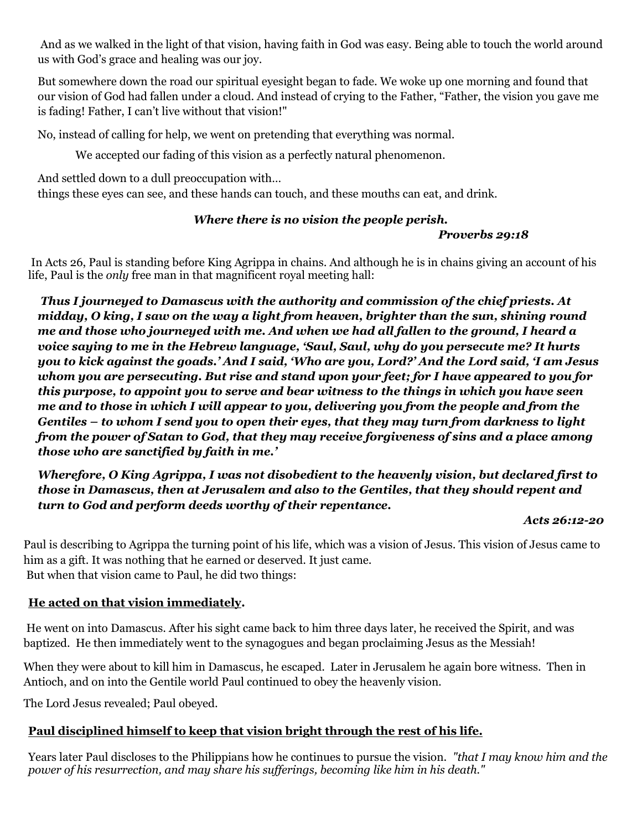And as we walked in the light of that vision, having faith in God was easy. Being able to touch the world around us with God's grace and healing was our joy.

But somewhere down the road our spiritual eyesight began to fade. We woke up one morning and found that our vision of God had fallen under a cloud. And instead of crying to the Father, "Father, the vision you gave me is fading! Father, I can't live without that vision!"

No, instead of calling for help, we went on pretending that everything was normal.

We accepted our fading of this vision as a perfectly natural phenomenon.

And settled down to a dull preoccupation with…

things these eyes can see, and these hands can touch, and these mouths can eat, and drink.

# *Where there is no vision the people perish.*

# *Proverbs 29:18*

In Acts 26, Paul is standing before King Agrippa in chains. And although he is in chains giving an account of his life, Paul is the *only* free man in that magnificent royal meeting hall:

*Thus I journeyed to Damascus with the authority and commission of the chief priests. At midday, O king, I saw on the way a light from heaven, brighter than the sun, shining round me and those who journeyed with me. And when we had all fallen to the ground, I heard a voice saying to me in the Hebrew language, 'Saul, Saul, why do you persecute me? It hurts you to kick against the goads.' And I said, 'Who are you, Lord?' And the Lord said, 'I am Jesus whom you are persecuting. But rise and stand upon your feet; for I have appeared to you for this purpose, to appoint you to serve and bear witness to the things in which you have seen me and to those in which I will appear to you, delivering you from the people and from the Gentiles – to whom I send you to open their eyes, that they may turn from darkness to light from the power of Satan to God, that they may receive forgiveness of sins and a place among those who are sanctified by faith in me.'*

*Wherefore, O King Agrippa, I was not disobedient to the heavenly vision, but declared first to those in Damascus, then at Jerusalem and also to the Gentiles, that they should repent and turn to God and perform deeds worthy of their repentance.*

#### *Acts 26:12-20*

Paul is describing to Agrippa the turning point of his life, which was a vision of Jesus. This vision of Jesus came to him as a gift. It was nothing that he earned or deserved. It just came. But when that vision came to Paul, he did two things:

# **He acted on that vision immediately.**

He went on into Damascus. After his sight came back to him three days later, he received the Spirit, and was baptized. He then immediately went to the synagogues and began proclaiming Jesus as the Messiah!

When they were about to kill him in Damascus, he escaped. Later in Jerusalem he again bore witness. Then in Antioch, and on into the Gentile world Paul continued to obey the heavenly vision.

The Lord Jesus revealed; Paul obeyed.

# **Paul disciplined himself to keep that vision bright through the rest of his life.**

Years later Paul discloses to the Philippians how he continues to pursue the vision. *"that I may know him and the power of his resurrection, and may share his sufferings, becoming like him in his death."*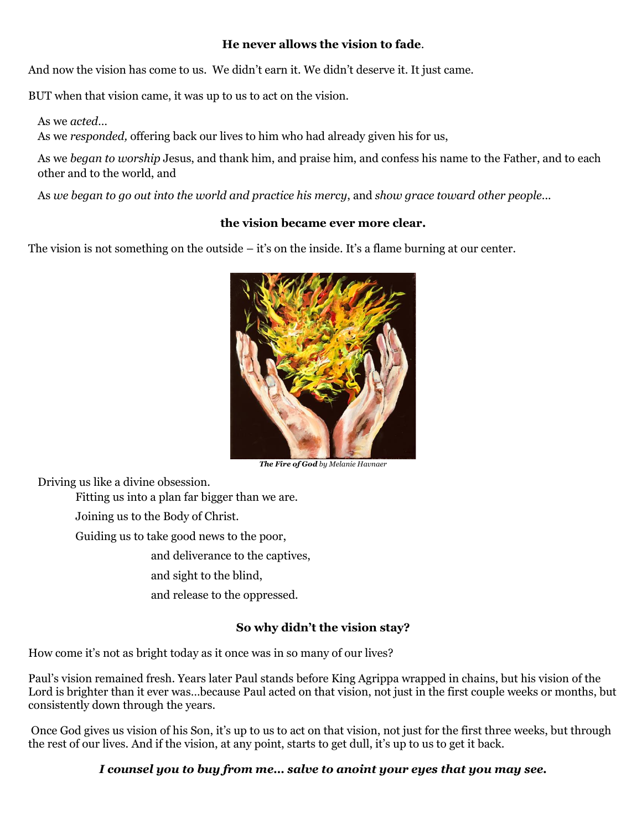#### **He never allows the vision to fade**.

And now the vision has come to us. We didn't earn it. We didn't deserve it. It just came.

BUT when that vision came, it was up to us to act on the vision.

As we *acted…*

As we *responded,* offering back our lives to him who had already given his for us,

As we *began to worship* Jesus, and thank him, and praise him, and confess his name to the Father, and to each other and to the world, and

As *we began to go out into the world and practice his mercy*, and *show grace toward other people*...

#### **the vision became ever more clear.**

The vision is not something on the outside – it's on the inside. It's a flame burning at our center.



*The Fire of God by Melanie Havnaer*

Driving us like a divine obsession.

Fitting us into a plan far bigger than we are.

Joining us to the Body of Christ.

Guiding us to take good news to the poor,

and deliverance to the captives,

and sight to the blind,

and release to the oppressed.

#### **So why didn't the vision stay?**

How come it's not as bright today as it once was in so many of our lives?

Paul's vision remained fresh. Years later Paul stands before King Agrippa wrapped in chains, but his vision of the Lord is brighter than it ever was...because Paul acted on that vision, not just in the first couple weeks or months, but consistently down through the years.

Once God gives us vision of his Son, it's up to us to act on that vision, not just for the first three weeks, but through the rest of our lives. And if the vision, at any point, starts to get dull, it's up to us to get it back.

#### *I counsel you to buy from me… salve to anoint your eyes that you may see.*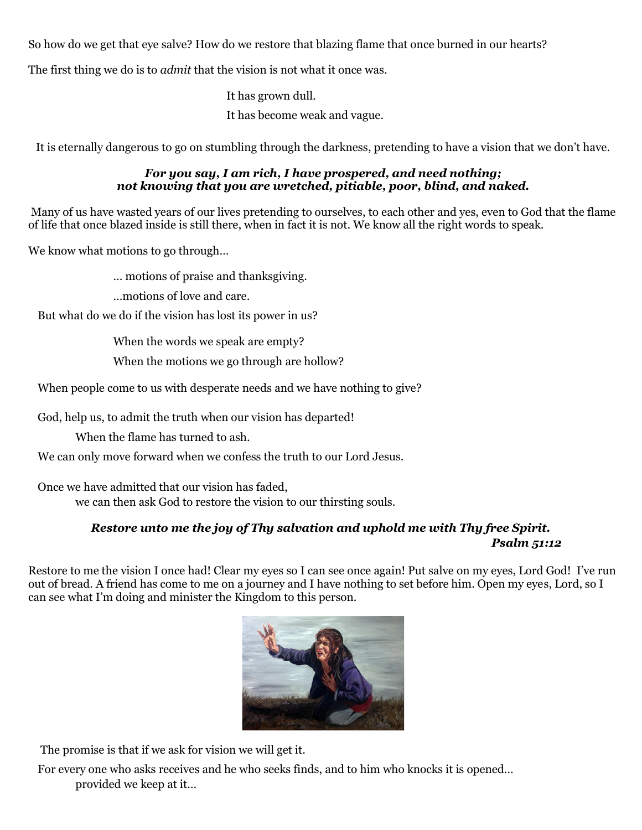So how do we get that eye salve? How do we restore that blazing flame that once burned in our hearts?

The first thing we do is to *admit* that the vision is not what it once was.

It has grown dull. It has become weak and vague.

It is eternally dangerous to go on stumbling through the darkness, pretending to have a vision that we don't have.

#### *For you say, I am rich, I have prospered, and need nothing; not knowing that you are wretched, pitiable, poor, blind, and naked.*

Many of us have wasted years of our lives pretending to ourselves, to each other and yes, even to God that the flame of life that once blazed inside is still there, when in fact it is not. We know all the right words to speak.

We know what motions to go through…

… motions of praise and thanksgiving.

…motions of love and care.

But what do we do if the vision has lost its power in us?

When the words we speak are empty?

When the motions we go through are hollow?

When people come to us with desperate needs and we have nothing to give?

God, help us, to admit the truth when our vision has departed!

When the flame has turned to ash.

We can only move forward when we confess the truth to our Lord Jesus.

Once we have admitted that our vision has faded,

we can then ask God to restore the vision to our thirsting souls.

#### *Restore unto me the joy of Thy salvation and uphold me with Thy free Spirit. Psalm 51:12*

Restore to me the vision I once had! Clear my eyes so I can see once again! Put salve on my eyes, Lord God! I've run out of bread. A friend has come to me on a journey and I have nothing to set before him. Open my eyes, Lord, so I can see what I'm doing and minister the Kingdom to this person.



The promise is that if we ask for vision we will get it.

For every one who asks receives and he who seeks finds, and to him who knocks it is opened… provided we keep at it…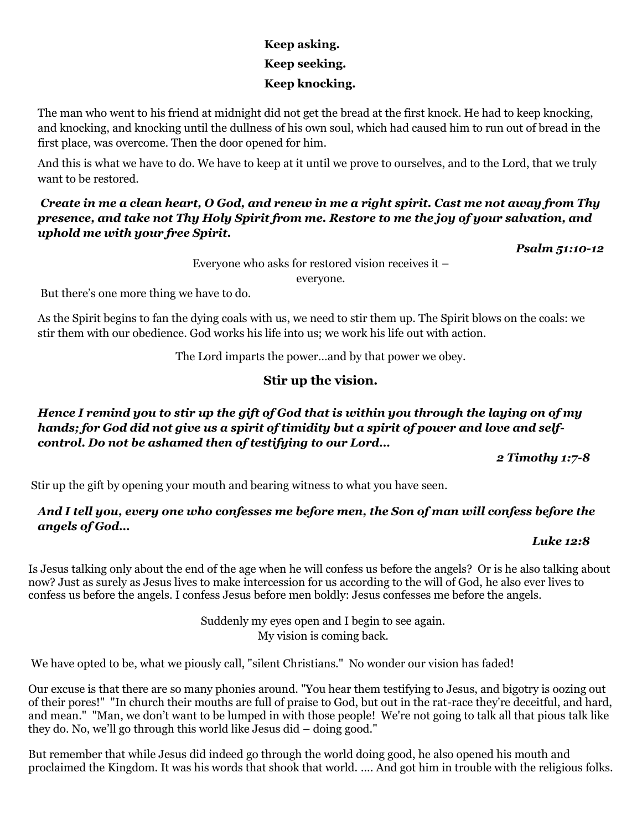# **Keep asking. Keep seeking. Keep knocking.**

The man who went to his friend at midnight did not get the bread at the first knock. He had to keep knocking, and knocking, and knocking until the dullness of his own soul, which had caused him to run out of bread in the first place, was overcome. Then the door opened for him.

And this is what we have to do. We have to keep at it until we prove to ourselves, and to the Lord, that we truly want to be restored.

#### *Create in me a clean heart, O God, and renew in me a right spirit. Cast me not away from Thy presence, and take not Thy Holy Spirit from me. Restore to me the joy of your salvation, and uphold me with your free Spirit.*

*Psalm 51:10-12*

Everyone who asks for restored vision receives it –

everyone.

But there's one more thing we have to do.

As the Spirit begins to fan the dying coals with us, we need to stir them up. The Spirit blows on the coals: we stir them with our obedience. God works his life into us; we work his life out with action.

The Lord imparts the power…and by that power we obey.

# **Stir up the vision.**

# *Hence I remind you to stir up the gift of God that is within you through the laying on of my hands; for God did not give us a spirit of timidity but a spirit of power and love and selfcontrol. Do not be ashamed then of testifying to our Lord…*

 *2 Timothy 1:7-8*

Stir up the gift by opening your mouth and bearing witness to what you have seen.

# *And I tell you, every one who confesses me before men, the Son of man will confess before the angels of God…*

#### *Luke 12:8*

Is Jesus talking only about the end of the age when he will confess us before the angels? Or is he also talking about now? Just as surely as Jesus lives to make intercession for us according to the will of God, he also ever lives to confess us before the angels. I confess Jesus before men boldly: Jesus confesses me before the angels.

> Suddenly my eyes open and I begin to see again. My vision is coming back.

We have opted to be, what we piously call, "silent Christians." No wonder our vision has faded!

Our excuse is that there are so many phonies around. "You hear them testifying to Jesus, and bigotry is oozing out of their pores!" "In church their mouths are full of praise to God, but out in the rat-race they're deceitful, and hard, and mean." "Man, we don't want to be lumped in with those people! We're not going to talk all that pious talk like they do. No, we'll go through this world like Jesus did – doing good."

But remember that while Jesus did indeed go through the world doing good, he also opened his mouth and proclaimed the Kingdom. It was his words that shook that world. …. And got him in trouble with the religious folks.